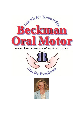

# www.beckmanoralmotor.com



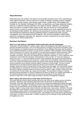## **Debra Beckman**

Debra Beckman has worked in the field of communicative disorders since 1975, specializing in motor speech disorders. She has worked in a variety of settings, including schools, hospitals, universities, trauma centers, home-bound, foster homes, group homes, Intermediate Care Facilities for the Mentally Challenged (ICF-MRs), nursing homes, and large residential facilities. She has co-authored training materials for the states of Florida, Oklahoma, and Wyoming, which are used in a number of other states as well. She has served as a court appointed witness and as a resource content expert for seven federal court cases regarding services for the developmentally disabled. Ms. Beckman has presented at numerous local, state, national, and international conferences and has published articles in professional books, journals, monographs; and in *Exceptional Parent* magazine. She has been awarded a United States patent for a therapeutic oral probe. Ms. Beckman has been recognized by her peers and her community for clinical achievement.

## **Beckman Oral Motor**©

#### **WHAT IS IT AND HOW IS IT DIFFERENT FROM OTHER ORAL MOTOR PROGRAMS?**

"Oral motor" has been defined in a variety of ways. Many of the strategies of the 1950's and '60's were primarily stimulation techniques, such as brushing (pressure massage), icing (thermal stimulation), quick stretch (tapping), and vibration (manual and mechanical). These strategies have been used by physical and occupational therapists to prepare a muscle area for movement. These strategies cannot change the range of movement of a muscle or the strength of a muscle without additional muscle movement. Other oral motor techniques require the individual's cognitive cooperation to follow a command in order to complete a movement. But what if the individual cannot cooperate cognitively, or, due to significant motor involvement, cannot follow the therapist's verbal directive to "lick your lips," or "move your tongue up toward your nose," or "round and spread your lips?" Many individuals with impaired oral motor skills are not able to follow a command for oral movement. To better serve such individuals, Debra Beckman has, since 1975, worked to develop these specific interventions which provide assisted movement to activate muscle contraction and to provide movement against resistance to build strength. The focus of these interventions is to increase functional response to pressure and movement, and improved range, strength, variety and control of movement for the lips, cheeks, jaw and tongue. The interventions needed are determined by an assessment, the Beckman Oral Motor Protocol©, which uses assisted movement and stretch reflexes to quantify response to pressure and movement, range, strength, variety and control of movement for the lips cheeks, jaw, tongue and soft palate. The assessment is based on clinically defined functional parameters of minimal competence and does not require the cognitive participation of the individual. Because these components of movement are functional, not age specific, the protocol is useful with a wide range of ages (neonatal to geriatric) and diagnostic categories.

#### **WHAT AREAS ARE AFFECTED BY POOR ORAL MOTOR SKILLS?**

Oral motor skills are critical to basic functions that occur even when we are asleep, such as controlling secretions, swallowing, and maintaining alignment of the oral structures so that breathing is not interrupted. Oral motor skills impact basic survival such as sucking and swallowing by infants that begin by the third month of gestation. Development of these skills enhance the progression from breast milk or formula, then to pureed foods, and on to table foods, as well as the skills needed to progress from sucking a nipple, to using a wide variety of utensils, including straws, cups, spoons, and forks. Oral skills also impact the control needed for speech development, from producing the cooing sounds as an infant, to articulating complex words in conversational speech. Poor oral motor skills can result in delayed or reduced skill development for the areas listed above. The individual may be described as hypersensitive, a lazy talker or a picky or messy eater. In addition, problems such as drooling, bruxism (tooth grinding) and gagging may occur.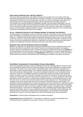#### **WHO SHOULD PROVIDE ORAL MOTOR THERAPY?**

Oral motor skills are impacted by many different things on the outside and on the inside of the body. Positioning and alignment of the body affect oral movement. Whether or not the individual has digested and passed out the food from prior meals affect oral skills. How alert the individual is also affects oral skills. Because of this, many professionals play a part in improving oral motor skills. Beckman recommends that a primary therapist be designated, typically a licensed speech pathologist, who will assess the oral motor skills using the Beckman Oral Motor Assessment Protocol©, determine the oral motor interventions needed, and work closely with the other team members: care givers, occupational therapy, physical therapy, registered dietician, teachers, psychologists, physicians, nurses, pharmacists, and others as indicated by the needs of the individual.

#### **DO ALL THERAPISTS RECEIVE THE TRAINING NEEDED TO PROVIDE THIS SERVICE?**

Training programs for therapists vary from university to university. Each offers a core curriculum with the basics of anatomy and physiology necessary and may provide an overview of the Beckman Oral Motor Protocol©. Additional training and experience prepare the therapist for better focus on oral motor skills. Onsite clinic practicum may provide exposure to the Beckman Oral Motor Protocol©. Currently, the only means of receiving comprehensive training in the Beckman Oral Motor Assessment and Intervention© methods is by attending a Beckman Oral Motor Assessment and Intervention© Workshop.

#### **BECKMAN ORAL MOTOR RESEARCH INSTITUTE (BOMRI)**

BOMRI is an electronic user group where healthcare professionals that have completed training in the Beckman Oral Motor Assessment & Intervention Protocol can exchange information and engage in research studies surrounding oral motor. As Beckman Oral Motor Assessment Protocol can **quantify** the functional strength of oro-facial muscle structures, its uniform application in research studies linking orofacial dysfunction to various syndromes and **quantifying** the effectiveness of any oro-facial intervention therapy will be instrumental in standardizing oral motor therapy in healthcare education and practice.

## **Oral Motor Assessment & Intervention Course Description**

Oral motor impairment presents a variety of challenges for both the individual affected, and for the care team providing intervention. Often the individual experiencing oral motor difficulties is not able to follow commands. The person may not be eating or taking fluids orally, which reduces the opportunities for observation of oral movement patterns. The majority of baseline protocols currently available require at least minimal direction-following skills. The protocol developed by Beckman uses mechanical muscle responses, which are not mediated cognitively, to baseline the response to pressure and movement, range of movement, variety of movement, strength of movement and control of movement for the lips, cheeks, jaw, and tongue. In this two day course (16 contact hours or 1.6 CEUs), participants will actively participate in hands-on practice for compensatory handling techniques for the following concerns: tonic bite, tonic bite on a utensil, slow oral transit, tongue thrust, cough, gag and vomit. The participants will complete an oral motor protocol with each other, analyze the results, and discuss data tracking. The participants will also complete hands-on practice for specific oral motor interventions to address the deficit areas discovered during baseline assessment. Additional topics of discussion may include: goal writing, diet texture progression, tube to oral issues, adaptive mealtime utensils, oral hygiene issues, medication administration issues, oral function for individuals with trachs, facilitating improved articulation through oral motor techniques, research issues, videofluroscopy issues for motorically involved individuals, and additional topics of importance as determined by the participants. The information and techniques presented are inclusive, and should augment the skills and knowledge base of each participant.

**Participants:** Licensed speech pathologists and occupational therapists

**Instructional Level:** INTERMEDIATE - This program is offered for 1.6 CEUs (Intermediate level; Professional area, knowledge of oral structures, muscles, and innervations).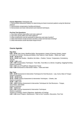**Course Objectives:** Participants will:

1. Demonstrate assessment battery for determining oro-facial movement patterns using the Beckman protocol.

- 2. Demonstrate compensatory handling techniques.
- 3. Demonstrate oral motor interventions and treatment techniques.

#### **Pre-Post Test Questions:**

- 1. How does sensory input affect oral motor patterns?
- 2. How does gravity affect oral motor patterns?
- 3. What components must be assessed to determine oral motor function?
- 4. What interventions would increase secretion control and decrease drooling?
- 5. What interventions would decrease tongue thrust?

#### **Course Agenda:**

#### **Day One:**

**8:00 - 10:00** Topic Areas; Mealtime Myths, Neuroanatomy, Impact of Sensory System, Impact of Gravity on Function, Nursing and Bottles, Oral Patterns, Case Studies – Slides and Tapes **10:00 – 10:15** Break **10:15 - 12:00** Case Studies - Mealtime Job Aides – Position, Texture, Temperature, Consistency,

Utensils

**12:00 – 1:00** Lunch

**1:00 - 3:00** Compensatory Techniques –Tonic Bite, Tonic Bite on a Utensil, Coughing, Gagging/Vomiting (hands on practice)

**3:15 - 4:15** Loss of Food/Fluid, Delayed Oral Transit

**4:15 - 5:30** Assessment & Intervention Videos – Infant and Adult

#### **Day Two: 8:00 - 10:00** Assessment & Intervention Techniques for Oral Structures – Lips, Gums, Base of Tongue (hands on practice) **10:00 – 10:15** Break **10:15 - 12:00** Continue Assessment & Intervention Techniques – Cheeks, Jaw (hands on practice) **12:00 – 1:00** Lunch **1:00 – 3:00** Continue Assessment & Intervention Techniques for Oral Structures – Tongue, Hard Palate, Soft Palate (hands on practice) **3:00 – 3:15** Break **3:15 - 4:00** Continue Assessment & Intervention Techniques (hands on practice) Analysis of Findings, Goals & Objectives, Application of Findings **4:00 - 5:30** Home Program, Maintenance, Tube to Oral Transition, Discussion, Post Test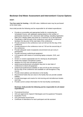## **Beckman Oral Motor Assessment and Intervention© Course Options**

## **HOST:**

**Two free seats for hosting - A \$1,000 value. Additional seats may be purchased** at the listed rates.

Host shall provide the following and be responsible for all related expenditures:

- Provide an accessible and appropriate facility for conducting the Scheduled Course, with adequate seating based on the number of participants (maximum 120, classroom style setting), including registration table and 2 display tables and seats for a maximum of 12 lab assistants.
- Coordinate a walk-through of the conference room with the conference facilitator the day prior to the start date of the conference
- Provide entrance to the conference room at 6:30 am the first day of the conference
- Provide entrance to the conference room at 7:00 am the second day of the conference.
- Provide adequate waste receptacles (recommend one per every 6 participants)
- Provide necessary audio/visual equipment
- LCD projector with means of connecting laptop computer, DVD, and camera
- Screen or screens appropriate size for viewing by all participants
- hands-free wireless microphone system
- speakers for DVD and microphone system
- audio/visual professional consultation day prior to start date of conference to check all equipment
- audio/visual professional available on site at 6:30 am the morning of the first day of the conference and available on call throughout 2-day course.
- Provide street address and directions to the facility.
- Recommend hotels that are close to the facility that can provide suitable lodging.
- Provide beverages and snacks for mid-morning and mid-afternoon breaks each day.
- Provide current contact information for the host facility coordinator(s).

## **Beckman shall provide the following and be responsible for all related expenditures:**

- Promotional brochure
- CEU pre-approval for Speech Pathologists and Occupational Therapists
- Evaluation Forms
- CEU permanent record forms
- Certificate of Attendance for each participant and lab assistant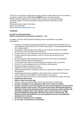The host is not involved in registration process and there is little expense to the host agency. An agency outside of the United States **CANNOT** host; it must be a sponsor. Please review the Agreement for Course Host to ensure you have the necessary workshop support. Contact the Education Director, Beckman Oral Motor, for this document.

Education Director contact information: phone: (407) 590-4852 email: **info@beckmanoralmotor.com** 

## **SPONSOR:**

## **\$17,500 for 15-30 participants \$300 per participant for participants totaling 31 – 120.**

In addition, Sponsor shall provide the following and be responsible for all related expenditures:

- Provide an accessible and appropriate facility for conducting the Scheduled Course, with adequate seating based on the number of participants, including registration table and 2 display tables.
- Coordinate a walk-through of the conference room with the conference facilitator the day prior to the start date of the conference
- Provide entrance to the conference room at 6:30 am the first day of the conference
- Provide entrance to the conference room at 7:00 am the second day of the conference.
- Provide adequate waste receptacles (recommend one per every 6 participants)
- Provide necessary audio/visual equipment
- LCD projector with means of connecting laptop computer, DVD, and camera
- Screen or screens appropriate size for viewing by all participants
- hands-free wireless microphone system
- speakers for DVD and microphone system
- audio/visual professional consultation day prior to start date of conference to check all equipment
- audio/visual professional available on site at 6:30 am the morning of the first day of the conference and available on call throughout 2-day course.
- Provide beverages and snacks for mid-morning and mid-afternoon breaks each day.
- **Registration processing**
- **Sign-in sheets and name tags**
- Provide current contact information for the sponsor facility coordinator(s).
- **Provide a facilitator for the registration desk and to assist as needed.**
- **Provide a minimum of one lab assistant for every 10 participants to assist with the hands-on portion of the course. This assistant must have attended the Beckman Oral Motor Assessment and Intervention© course previously, and be familiar with techniques taught in class. If the Sponsor does not have access to enough personnel fitting this description, Beckman may assist in this process. The Sponsor will be responsible for any travel expenses incurred in providing lab assistants for the course.**
- **Provide the following course supplies:**
- **22 non-latex (vinyl) gloves per participant**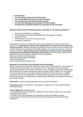- **hand sanitizer**
- **one roll of paper towels per 4-6 participants**
- **one-serving applesauce cup (4 oz.) per participant**
- **one E-Z Spoon per participant and lab assistant**
- **one NUK Gum Massager per participant and lab assistant**
- **one Beckman Oral Motor© Manual per participant and lab assistant**

## **Beckman shall provide the following and be responsible for all related expenditures:**

- Instruction for therapists in attendance
- CEU pre-approval for Speech Pathologists and Occupational Therapists
- Evaluation Forms
- CEU permanent record forms and processing
- Certificate of Attendance

Some agencies choose to sponsor the course so that employees can attend for free or at a reduced cost. **Organizations outside of the United States do not have the host option and must be a sponsor.** Beckman will post the scheduled course, a link to sponsor's brochure, and contact information on the Beckman Oral Motor website, **www.beckmanoralmotor.com** if the sponsor so desires. **Agencies that sponsor (purchase the conference) are responsible for accepting and processing all registrations, advertising, etc.** For this option, please review Agreement for Course Sponsor. Contact the Education Director,

Beckman Oral Motor, for this document. Education Director contact information: phone: (407) 590-4852 email: **info@beckmanoralmotor.com** 

## **Beckman Oro-facial Deep Tissue Release Course Description**

This is a one day course. *Beckman Oral Motor Assessment & Intervention©* is a pre-requisite to the *Beckman Oro-facial Deep Tissue Release©* course. Twenty-four (24) is the maximum number of participants for this course. During this course, participants will practice specific deep tissue release for the upper and lower lips, upper and lower cheeks, midface, jaw, and tongue. These interventions focus on increased range of movement for these structures. In addition, participants will have the opportunity to review techniques about which they have questions from the two-day course. Participants are invited to bring videotaped case studies for discussion and problem solving.

**Participants:** Licensed speech pathologists and occupational therapists

**Instructional Level:** - ADVANCED - This program is offered for 0.7 CEUs (Advanced level; Professional area).

## **Course Objectives:** Participants will:

1. Demonstrate intervention options for mobility of the lips, cheeks, midface, jaw, and tongue using deep tissue release

2. Problem solve issues regarding client specific oral motor and mealtime concerns

3. Demonstrate oral motor assessment and intervention techniques as determined by the participants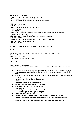## **Pre-Post Test Questions:**

- 1. Where is deep tissue release pressure provided?
- 2. When is deep tissue release indicated?
- 3. How can the impact of deep tissue release be determined?

**7:45 – 8:00** Registration **8:00 – 8:15** Pre-Test **8:15 – 10:15** Deep tissue releases for the lips (hands on practice) **10:15 – 10:30** Break **10:30 – 12:00** Deep tissue releases for upper & Lower Cheeks (hands on practice) **12:00 – 1:00** Lunch Break **1:00 – 2:30** Deep tissue releases for the jaw (hands on practice) **2:30 – 2:45** Break **2:45 – 4:00** Deep tissue releases for the tongue (hands on practice) **4:00 – 4:45** Case studies, discussion **4:45 – 5:00** Post-Test

## **Beckman Oro-facial Deep Tissue Release© Course Options:**

## **HOST:**

Contact the Education Director, Beckman Oral Motor, to discuss this option. Education Director contact information: phone: (407) 590-4852 email: info@beckmanoralmotor.com

## **SPONOR:**

## **\$6,000 for 6-24 Participants**

In addition, Sponsor shall provide the following and be responsible for all related expenditures:

- Provide an accessible and appropriate facility for conducting the Scheduled Course, with adequate seating based on the number of attendees including registration and display tables.
- Provide an audio/visual professional that can be immediately available for the entirety of the course.
- Provide the following audio/visual equipment:
- LCD projector
- hands-free wireless microphone system
- **Provide the following supplies for the course:**
- **10 non-latex (vinyl) gloves per participant**
- **hand sanitizer**
- **one roll of paper towels per 4-6 participants**
- **one waste receptacle per eight participants**
- **sign-in sheet and name tags**
- **Provide a facilitator for the registration desk and to assist as needed.**
- **Provide beverages and snacks for mid-morning and mid-afternoon break.**

**Beckman shall provide the following and be responsible for all related**